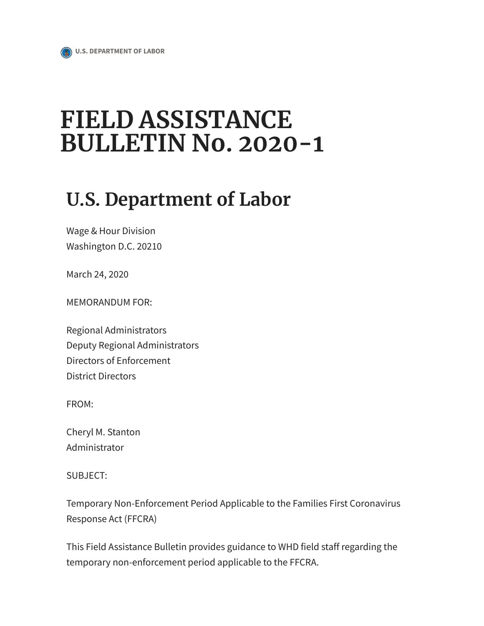# FIELD ASSISTANCE BULLETIN No. 2020-1

## U.S. Department of Labor

Wage & Hour Division Washington D.C. 20210

March 24, 2020

MEMORANDUM FOR:

Regional Administrators Deputy Regional Administrators Directors of Enforcement District Directors

FROM:

Cheryl M. Stanton Administrator

SUBJECT:

Temporary Non-Enforcement Period Applicable to the Families First Coronavirus Response Act (FFCRA)

This Field Assistance Bulletin provides guidance to WHD field staff regarding the temporary non-enforcement period applicable to the FFCRA.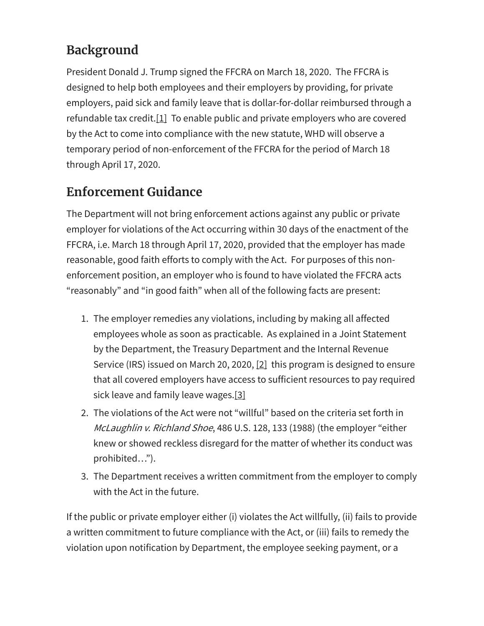## Background

President Donald J. Trump signed the FFCRA on March 18, 2020. The FFCRA is designed to help both employees and their employers by providing, for private employers, paid sick and family leave that is dollar-for-dollar reimbursed through a refundable tax credit.[1] To enable public and private employers who are covered by the Act to come into compliance with the new statute, WHD will observe a temporary period of non-enforcement of the FFCRA for the period of March 18 through April 17, 2020.

### Enforcement Guidance

The Department will not bring enforcement actions against any public or private employer for violations of the Act occurring within 30 days of the enactment of the FFCRA, i.e. March 18 through April 17, 2020, provided that the employer has made reasonable, good faith efforts to comply with the Act. For purposes of this nonenforcement position, an employer who is found to have violated the FFCRA acts "reasonably" and "in good faith" when all of the following facts are present:

- 1. The employer remedies any violations, including by making all affected employees whole as soon as practicable. As explained in a Joint Statement by the Department, the Treasury Department and the Internal Revenue Service (IRS) issued on March 20, 2020, [2] this program is designed to ensure that all covered employers have access to sufficient resources to pay required sick leave and family leave wages.[3]
- 2. The violations of the Act were not "willful" based on the criteria set forth in McLaughlin v. Richland Shoe, 486 U.S. 128, 133 (1988) (the employer "either knew or showed reckless disregard for the matter of whether its conduct was prohibited…").
- 3. The Department receives a written commitment from the employer to comply with the Act in the future.

If the public or private employer either (i) violates the Act willfully, (ii) fails to provide a written commitment to future compliance with the Act, or (iii) fails to remedy the violation upon notification by Department, the employee seeking payment, or a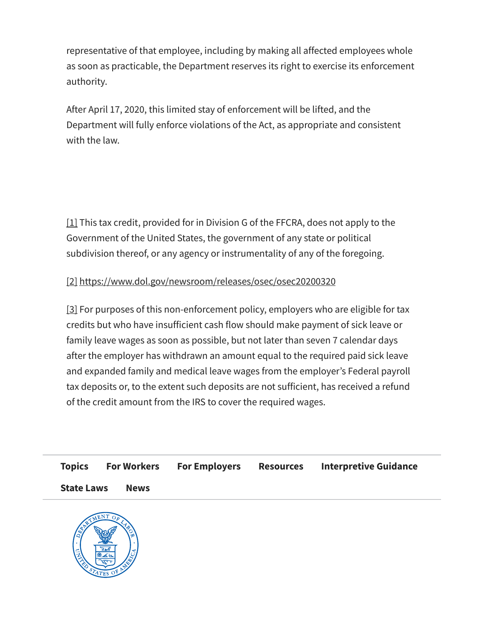representative of that employee, including by making all affected employees whole as soon as practicable, the Department reserves its right to exercise its enforcement authority.

After April 17, 2020, this limited stay of enforcement will be lifted, and the Department will fully enforce violations of the Act, as appropriate and consistent with the law.

[1] This tax credit, provided for in Division G of the FFCRA, does not apply to the Government of the United States, the government of any state or political subdivision thereof, or any agency or instrumentality of any of the foregoing.

#### [2] https://www.dol.gov/newsroom/releases/osec/osec20200320

[3] For purposes of this non-enforcement policy, employers who are eligible for tax credits but who have insufficient cash flow should make payment of sick leave or family leave wages as soon as possible, but not later than seven 7 calendar days after the employer has withdrawn an amount equal to the required paid sick leave and expanded family and medical leave wages from the employer's Federal payroll tax deposits or, to the extent such deposits are not sufficient, has received a refund of the credit amount from the IRS to cover the required wages.